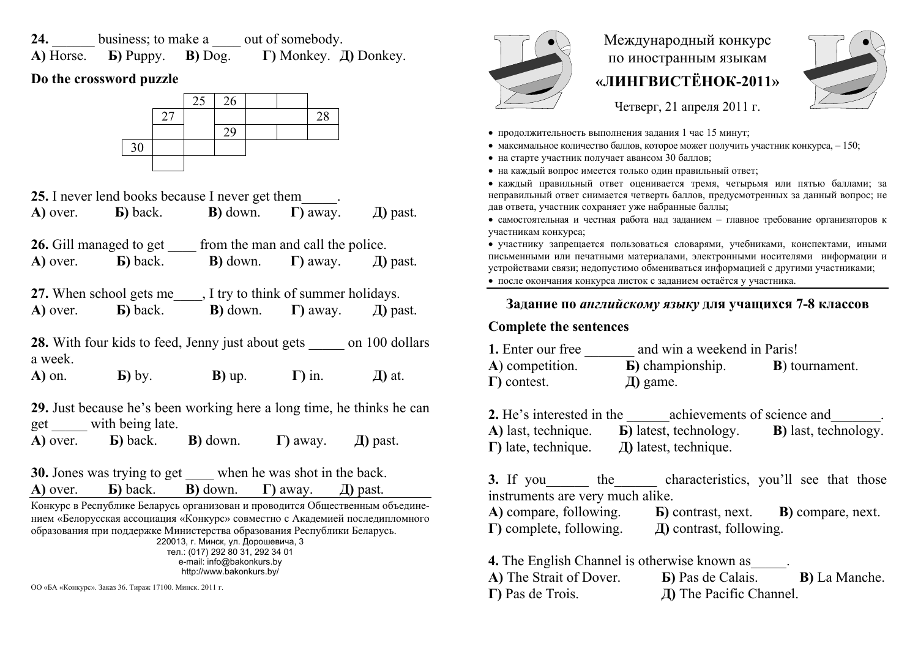**24.** business; to make a <u>lead</u> out of somebody. **A)** Horse. **Б)** Puppy. **В)** Dog. **Г)** Monkey. **Д)** Donkey.

# **Do the crossword puzzle**



|                                                                                                                                                                                                                                                                                                                                                                              | <b>25.</b> I never lend books because I never get them                                           |                               |                  |               | • каждый правильный ответ оценивается тремя, четырьмя или<br>неправильный ответ снимается четверть баллов, предусмотренных за                                                                          |                   |  |
|------------------------------------------------------------------------------------------------------------------------------------------------------------------------------------------------------------------------------------------------------------------------------------------------------------------------------------------------------------------------------|--------------------------------------------------------------------------------------------------|-------------------------------|------------------|---------------|--------------------------------------------------------------------------------------------------------------------------------------------------------------------------------------------------------|-------------------|--|
| A) over.                                                                                                                                                                                                                                                                                                                                                                     | <b>b</b> ) back. <b>B</b> ) down. $\Gamma$ ) away.                                               |                               |                  | $\pi$ ) past. | дав ответа, участник сохраняет уже набранные баллы;<br>• самостоятельная и честная работа над заданием - главное требован<br>участникам конкурса;                                                      |                   |  |
|                                                                                                                                                                                                                                                                                                                                                                              | <b>26.</b> Gill managed to get from the man and call the police.                                 |                               |                  |               | • участнику запрещается пользоваться словарями, учебниками, ко                                                                                                                                         |                   |  |
| A) over.                                                                                                                                                                                                                                                                                                                                                                     | <b>b</b> ) back. <b>B</b> ) down.                                                                |                               | $\Gamma$ ) away. | Д) past.      | письменными или печатными материалами, электронными носителя<br>устройствами связи; недопустимо обмениваться информацией с други<br>• после окончания конкурса листок с заданием остаётся у участника. |                   |  |
|                                                                                                                                                                                                                                                                                                                                                                              | 27. When school gets me , I try to think of summer holidays.                                     |                               |                  |               |                                                                                                                                                                                                        |                   |  |
| A) over.                                                                                                                                                                                                                                                                                                                                                                     | <b>b</b> ) back. <b>B</b> ) down. $\Gamma$ ) away.                                               |                               |                  | $\pi$ ) past. | Задание по английскому языку для учащихся'                                                                                                                                                             |                   |  |
|                                                                                                                                                                                                                                                                                                                                                                              |                                                                                                  |                               |                  |               | <b>Complete the sentences</b>                                                                                                                                                                          |                   |  |
| 28. With four kids to feed, Jenny just about gets on 100 dollars<br>a week.                                                                                                                                                                                                                                                                                                  |                                                                                                  |                               |                  |               | 1. Enter our free and win a weekend in Paris!<br>A) competition. <b>b</b> ) championship.                                                                                                              | $\bf{B}$ ) to     |  |
| $A)$ on.                                                                                                                                                                                                                                                                                                                                                                     | <b>b</b> ) by.                                                                                   | <b>B</b> ) up. $\Gamma$ ) in. |                  | $\pi$ ) at.   | $\Gamma$ ) contest.<br>Д) game.                                                                                                                                                                        |                   |  |
|                                                                                                                                                                                                                                                                                                                                                                              | 29. Just because he's been working here a long time, he thinks he can                            |                               |                  |               | 2. He's interested in the achievements of science                                                                                                                                                      |                   |  |
|                                                                                                                                                                                                                                                                                                                                                                              | get with being late.<br>A) over. <b>b</b> ) back. <b>b</b> ) down. <b>h</b> ) away. $\Box$ past. |                               |                  |               | A) last, technique. <b>b</b> ) latest, technology.                                                                                                                                                     | $\mathbf{B}$ ) la |  |
|                                                                                                                                                                                                                                                                                                                                                                              | 30. Jones was trying to get _____ when he was shot in the back.                                  |                               |                  |               |                                                                                                                                                                                                        |                   |  |
|                                                                                                                                                                                                                                                                                                                                                                              | A) over. <b>b</b> ) back. <b>b</b> ) down. <b>c</b> ) away. <i>d</i> ) past.                     |                               |                  |               | 3. If you the characteristics, you'll<br>instruments are very much alike.                                                                                                                              |                   |  |
| Конкурс в Республике Беларусь организован и проводится Общественным объедине-<br>нием «Белорусская ассоциация «Конкурс» совместно с Академией последипломного<br>образования при поддержке Министерства образования Республики Беларусь.<br>220013, г. Минск, ул. Дорошевича, 3<br>тел.: (017) 292 80 31, 292 34 01<br>e-mail: info@bakonkurs.by<br>http://www.bakonkurs.by/ |                                                                                                  |                               |                  |               | A) compare, following. <b>b</b> ) contrast, next. <b>b</b> )<br>$\Gamma$ ) complete, following. $\Box$ $\Box$ and $\Box$ $\Box$ contrast, following.                                                   |                   |  |
|                                                                                                                                                                                                                                                                                                                                                                              |                                                                                                  |                               |                  |               | <b>4.</b> The English Channel is otherwise known as<br>A) The Strait of Dover. <b>b</b> ) Pas de Calais.                                                                                               |                   |  |
| ОО «БА «Конкурс». Заказ 36. Тираж 17100. Минск. 2011 г.                                                                                                                                                                                                                                                                                                                      |                                                                                                  |                               |                  |               | $\Gamma$ ) Pas de Trois.<br><b>II)</b> The Pacific Channel.                                                                                                                                            |                   |  |



# Международный конкурс по иностранным языкам **«ЛИНГВИСТЁНОК-2011»**



Четверг, 21 апреля 2011 г.

- продолжительность выполнения задания 1 час 15 минут;
- максимальное количество баллов, которое может получить участник конкурса,  $-150$ ;
- на старте участник получает авансом 30 баллов;
- на каждый вопрос имеется только один правильный ответ;

 каждый правильный ответ оценивается тремя, четырьмя или пятью баллами; за неправильный ответ снимается четверть баллов, предусмотренных за данный вопрос; не дав ответа, участник сохраняет уже набранные баллы;

 самостоятельная и честная работа над заданием – главное требование организаторов <sup>к</sup> участникам конкурса;

 участнику запрещается пользоваться словарями, учебниками, конспектами, иными письменными или печатными материалами, электронными носителями информации и устройствами связи; недопустимо обмениваться информацией <sup>с</sup> другими участниками;

### **Задание по** *английскому языку* **для учащихся 7-8 классов**

# **Complete the sentences**

| 1. Enter our free   | and win a weekend in Paris! |                        |  |  |
|---------------------|-----------------------------|------------------------|--|--|
| A) competition.     | <b>b</b> ) championship.    | <b>B</b> ) tournament. |  |  |
| $\Gamma$ ) contest. | $\mu$ ) game.               |                        |  |  |

**2.** He's interested in the achievements of science and **A)** last, technique. **Б)** latest, technology. **B)** last, technology. **Г)** late, technique. **Д)** latest, technique.

**3.**the characteristics, you'll see that those instruments are very much alike. **A)** compare, following. **Б)** contrast, next. **В)** compare, next. **Г)** complete, following. **Д)** contrast, following.

**4.** The English Channel is otherwise known as\_\_\_\_\_. **A)** The Strait of Dover. **Б)** Pas de Calais. **В)** La Manche. **Г)** Pas de Trois.